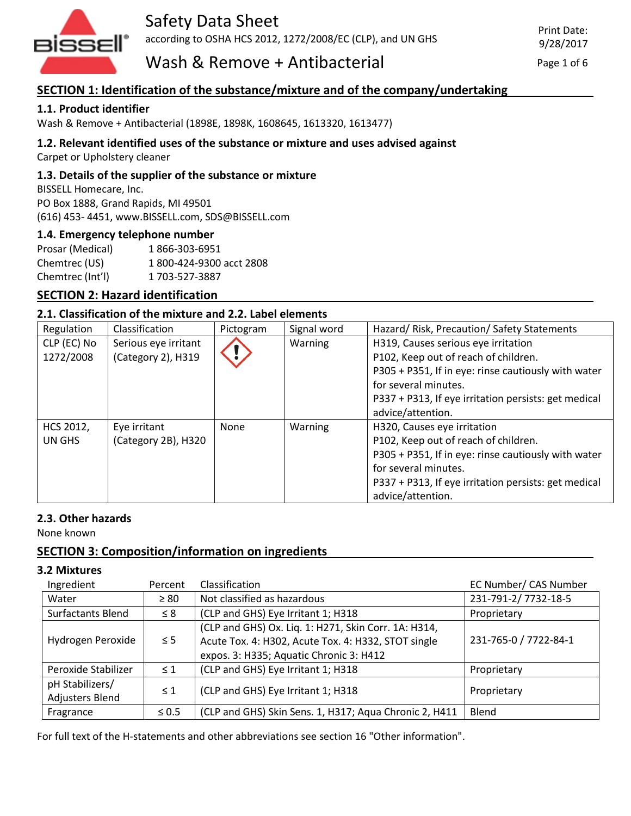

Wash  $\&$  Remove + Antibacterial  $P_{\text{age 1 of 6}}$ 

### **SECTION 1: Identification of the substance/mixture and of the company/undertaking**

#### **1.1. Product identifier**

Wash & Remove + Antibacterial (1898E, 1898K, 1608645, 1613320, 1613477)

#### **1.2. Relevant identified uses of the substance or mixture and uses advised against**

Carpet or Upholstery cleaner

#### **1.3. Details of the supplier of the substance or mixture**

BISSELL Homecare, Inc. PO Box 1888, Grand Rapids, MI 49501 (616) 453- 4451, www.BISSELL.com, SDS@BISSELL.com

#### **1.4. Emergency telephone number**

| Prosar (Medical) | 1866-303-6951            |
|------------------|--------------------------|
| Chemtrec (US)    | 1 800-424-9300 acct 2808 |
| Chemtrec (Int'l) | 1 703-527-3887           |

#### **SECTION 2: Hazard identification**

#### **2.1. Classification of the mixture and 2.2. Label elements**

| Regulation  | Classification       | Pictogram | Signal word | Hazard/ Risk, Precaution/ Safety Statements          |
|-------------|----------------------|-----------|-------------|------------------------------------------------------|
| CLP (EC) No | Serious eye irritant |           | Warning     | H319, Causes serious eye irritation                  |
| 1272/2008   | (Category 2), H319   |           |             | P102, Keep out of reach of children.                 |
|             |                      |           |             | P305 + P351, If in eye: rinse cautiously with water  |
|             |                      |           |             | for several minutes.                                 |
|             |                      |           |             | P337 + P313, If eye irritation persists: get medical |
|             |                      |           |             | advice/attention.                                    |
| HCS 2012,   | Eye irritant         | None      | Warning     | H320, Causes eye irritation                          |
| UN GHS      | (Category 2B), H320  |           |             | P102, Keep out of reach of children.                 |
|             |                      |           |             | P305 + P351, If in eye: rinse cautiously with water  |
|             |                      |           |             | for several minutes.                                 |
|             |                      |           |             | P337 + P313, If eye irritation persists: get medical |
|             |                      |           |             | advice/attention.                                    |

#### **2.3. Other hazards**

None known

#### **SECTION 3: Composition/information on ingredients**

#### **3.2 Mixtures**

| Ingredient                         | Percent    | Classification                                                                                                                                         | EC Number/ CAS Number |
|------------------------------------|------------|--------------------------------------------------------------------------------------------------------------------------------------------------------|-----------------------|
| Water                              | $\geq 80$  | Not classified as hazardous                                                                                                                            | 231-791-2/7732-18-5   |
| Surfactants Blend                  | $\leq 8$   | (CLP and GHS) Eye Irritant 1; H318                                                                                                                     | Proprietary           |
| Hydrogen Peroxide                  | $\leq$ 5   | (CLP and GHS) Ox. Liq. 1: H271, Skin Corr. 1A: H314,<br>Acute Tox. 4: H302, Acute Tox. 4: H332, STOT single<br>expos. 3: H335; Aquatic Chronic 3: H412 | 231-765-0 / 7722-84-1 |
| Peroxide Stabilizer                | $\leq 1$   | (CLP and GHS) Eye Irritant 1; H318                                                                                                                     | Proprietary           |
| pH Stabilizers/<br>Adjusters Blend | $\leq 1$   | (CLP and GHS) Eye Irritant 1; H318                                                                                                                     | Proprietary           |
| Fragrance                          | $\leq 0.5$ | (CLP and GHS) Skin Sens. 1, H317; Aqua Chronic 2, H411                                                                                                 | Blend                 |

For full text of the H-statements and other abbreviations see section 16 "Other information".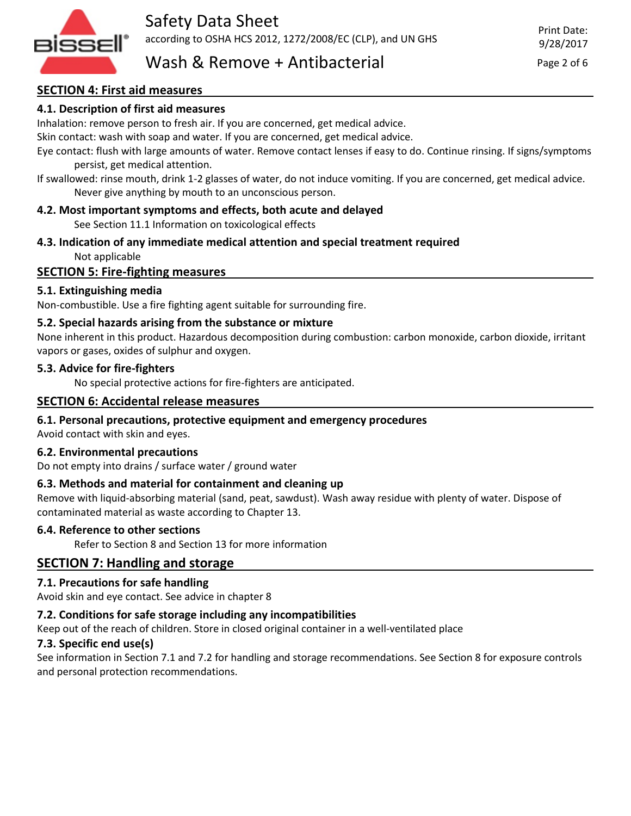

# Wash  $\&$  Remove + Antibacterial  $\qquad \qquad$  Page 2 of 6

#### **SECTION 4: First aid measures**

#### **4.1. Description of first aid measures**

Inhalation: remove person to fresh air. If you are concerned, get medical advice.

Skin contact: wash with soap and water. If you are concerned, get medical advice.

Eye contact: flush with large amounts of water. Remove contact lenses if easy to do. Continue rinsing. If signs/symptoms persist, get medical attention.

If swallowed: rinse mouth, drink 1-2 glasses of water, do not induce vomiting. If you are concerned, get medical advice. Never give anything by mouth to an unconscious person.

#### **4.2. Most important symptoms and effects, both acute and delayed**

See Section 11.1 Information on toxicological effects

**4.3. Indication of any immediate medical attention and special treatment required** Not applicable

#### **SECTION 5: Fire-fighting measures**

#### **5.1. Extinguishing media**

Non-combustible. Use a fire fighting agent suitable for surrounding fire.

#### **5.2. Special hazards arising from the substance or mixture**

None inherent in this product. Hazardous decomposition during combustion: carbon monoxide, carbon dioxide, irritant vapors or gases, oxides of sulphur and oxygen.

#### **5.3. Advice for fire-fighters**

No special protective actions for fire-fighters are anticipated.

#### **SECTION 6: Accidental release measures**

#### **6.1. Personal precautions, protective equipment and emergency procedures**

Avoid contact with skin and eyes.

#### **6.2. Environmental precautions**

Do not empty into drains / surface water / ground water

#### **6.3. Methods and material for containment and cleaning up**

Remove with liquid-absorbing material (sand, peat, sawdust). Wash away residue with plenty of water. Dispose of contaminated material as waste according to Chapter 13.

#### **6.4. Reference to other sections**

Refer to Section 8 and Section 13 for more information

#### **SECTION 7: Handling and storage**

#### **7.1. Precautions for safe handling**

Avoid skin and eye contact. See advice in chapter 8

#### **7.2. Conditions for safe storage including any incompatibilities**

Keep out of the reach of children. Store in closed original container in a well-ventilated place

#### **7.3. Specific end use(s)**

See information in Section 7.1 and 7.2 for handling and storage recommendations. See Section 8 for exposure controls and personal protection recommendations.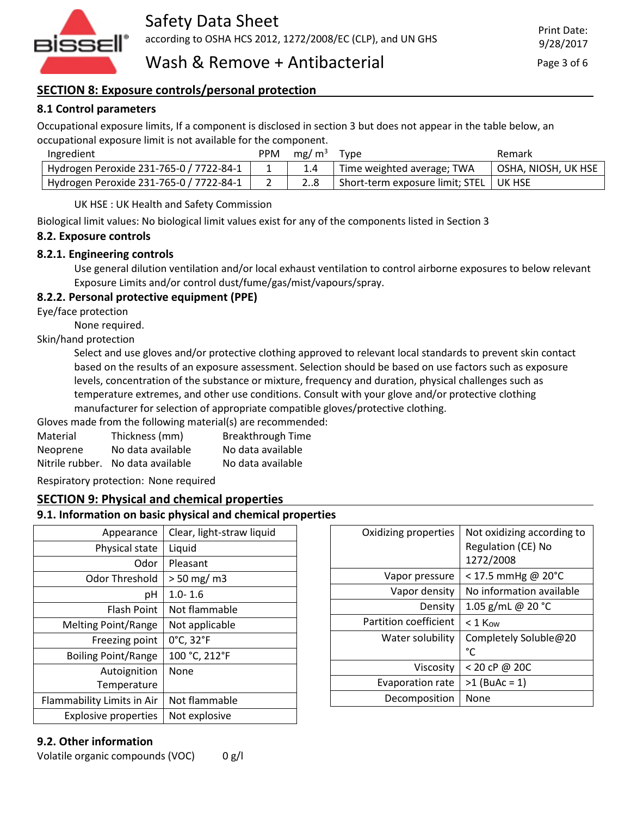

### **SECTION 8: Exposure controls/personal protection**

### **8.1 Control parameters**

Occupational exposure limits, If a component is disclosed in section 3 but does not appear in the table below, an occupational exposure limit is not available for the component.

| Ingredient                              | PPM           | mg/m <sup>3</sup> | Tvpe                                       | Remark              |
|-----------------------------------------|---------------|-------------------|--------------------------------------------|---------------------|
| Hydrogen Peroxide 231-765-0 / 7722-84-1 | <u>. на п</u> |                   | Time weighted average; TWA                 | OSHA, NIOSH, UK HSE |
| Hydrogen Peroxide 231-765-0 / 7722-84-1 |               |                   | ' Short-term exposure limit; STEL   UK HSE |                     |

UK HSE : UK Health and Safety Commission

Biological limit values: No biological limit values exist for any of the components listed in Section 3

#### **8.2. Exposure controls**

#### **8.2.1. Engineering controls**

Use general dilution ventilation and/or local exhaust ventilation to control airborne exposures to below relevant Exposure Limits and/or control dust/fume/gas/mist/vapours/spray.

#### **8.2.2. Personal protective equipment (PPE)**

Eye/face protection

None required.

#### Skin/hand protection

Select and use gloves and/or protective clothing approved to relevant local standards to prevent skin contact based on the results of an exposure assessment. Selection should be based on use factors such as exposure levels, concentration of the substance or mixture, frequency and duration, physical challenges such as temperature extremes, and other use conditions. Consult with your glove and/or protective clothing manufacturer for selection of appropriate compatible gloves/protective clothing.

Gloves made from the following material(s) are recommended: Material Thickness (mm) Breakthrough Time Neoprene No data available No data available Nitrile rubber. No data available No data available

Respiratory protection: None required

#### **SECTION 9: Physical and chemical properties**

#### **9.1. Information on basic physical and chemical properties**

| Appearance                  | Clear, light-straw liquid |
|-----------------------------|---------------------------|
| Physical state              | Liquid                    |
| Odor                        | Pleasant                  |
| <b>Odor Threshold</b>       | $> 50$ mg/ m3             |
| рH                          | $1.0 - 1.6$               |
| <b>Flash Point</b>          | Not flammable             |
| <b>Melting Point/Range</b>  | Not applicable            |
| Freezing point              | 0°C, 32°F                 |
| <b>Boiling Point/Range</b>  | 100 °C, 212°F             |
| Autoignition                | None                      |
| Temperature                 |                           |
| Flammability Limits in Air  | Not flammable             |
| <b>Explosive properties</b> | Not explosive             |

| Oxidizing properties    | Not oxidizing according to<br><b>Regulation (CE) No</b> |
|-------------------------|---------------------------------------------------------|
|                         | 1272/2008                                               |
| Vapor pressure          | $<$ 17.5 mmHg @ 20°C                                    |
| Vapor density           | No information available                                |
| Density                 | 1.05 g/mL @ 20 $°C$                                     |
| Partition coefficient   | $< 1$ Kow                                               |
| Water solubility        | Completely Soluble@20<br>°C                             |
| Viscosity               | < 20 cP @ 20C                                           |
| <b>Evaporation rate</b> | $>1$ (BuAc = 1)                                         |
| Decomposition           | None                                                    |

#### **9.2. Other information**

Volatile organic compounds (VOC) 0 g/l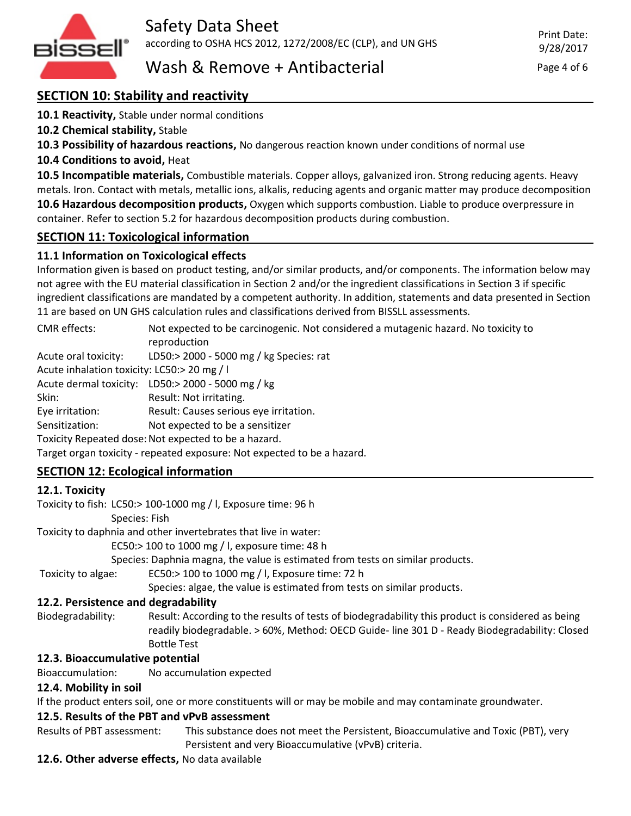

## **SECTION 10: Stability and reactivity**

**10.1 Reactivity,** Stable under normal conditions

**10.2 Chemical stability,** Stable

**10.3 Possibility of hazardous reactions,** No dangerous reaction known under conditions of normal use

**10.4 Conditions to avoid,** Heat

**10.5 Incompatible materials,** Combustible materials. Copper alloys, galvanized iron. Strong reducing agents. Heavy metals. Iron. Contact with metals, metallic ions, alkalis, reducing agents and organic matter may produce decomposition **10.6 Hazardous decomposition products,** Oxygen which supports combustion. Liable to produce overpressure in container. Refer to section 5.2 for hazardous decomposition products during combustion.

### **SECTION 11: Toxicological information**

### **11.1 Information on Toxicological effects**

Information given is based on product testing, and/or similar products, and/or components. The information below may not agree with the EU material classification in Section 2 and/or the ingredient classifications in Section 3 if specific ingredient classifications are mandated by a competent authority. In addition, statements and data presented in Section 11 are based on UN GHS calculation rules and classifications derived from BISSLL assessments.

| CMR effects:                                                            | Not expected to be carcinogenic. Not considered a mutagenic hazard. No toxicity to<br>reproduction |  |  |
|-------------------------------------------------------------------------|----------------------------------------------------------------------------------------------------|--|--|
|                                                                         |                                                                                                    |  |  |
| Acute oral toxicity:                                                    | LD50:> 2000 - 5000 mg / kg Species: rat                                                            |  |  |
| Acute inhalation toxicity: LC50:> 20 mg / l                             |                                                                                                    |  |  |
|                                                                         | Acute dermal toxicity: LD50:> 2000 - 5000 mg / kg                                                  |  |  |
| Skin:                                                                   | Result: Not irritating.                                                                            |  |  |
| Eye irritation:                                                         | Result: Causes serious eye irritation.                                                             |  |  |
| Sensitization:                                                          | Not expected to be a sensitizer                                                                    |  |  |
| Toxicity Repeated dose: Not expected to be a hazard.                    |                                                                                                    |  |  |
| Target organ toxicity - repeated exposure: Not expected to be a hazard. |                                                                                                    |  |  |

### **SECTION 12: Ecological information**

#### **12.1. Toxicity**

Toxicity to fish: LC50:> 100-1000 mg / l, Exposure time: 96 h

Species: Fish

Toxicity to daphnia and other invertebrates that live in water:

EC50:> 100 to 1000 mg / l, exposure time: 48 h

Species: Daphnia magna, the value is estimated from tests on similar products.

Toxicity to algae: EC50:> 100 to 1000 mg / l, Exposure time: 72 h

Species: algae, the value is estimated from tests on similar products.

### **12.2. Persistence and degradability**

Biodegradability: Result: According to the results of tests of biodegradability this product is considered as being readily biodegradable. > 60%, Method: OECD Guide- line 301 D - Ready Biodegradability: Closed Bottle Test

### **12.3. Bioaccumulative potential**

Bioaccumulation: No accumulation expected

### **12.4. Mobility in soil**

If the product enters soil, one or more constituents will or may be mobile and may contaminate groundwater.

### **12.5. Results of the PBT and vPvB assessment**

Results of PBT assessment: This substance does not meet the Persistent, Bioaccumulative and Toxic (PBT), very

Persistent and very Bioaccumulative (vPvB) criteria.

#### **12.6. Other adverse effects,** No data available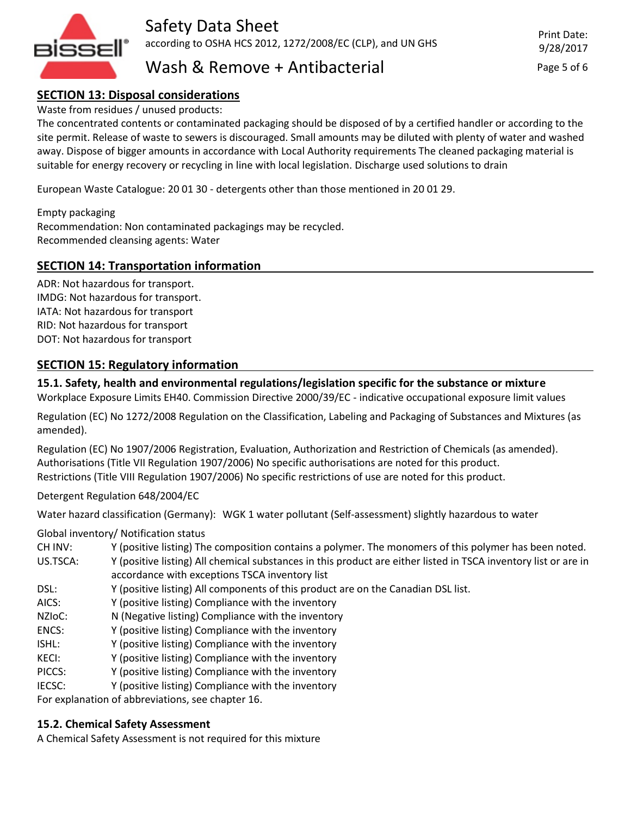

Safety Data Sheet according to OSHA HCS 2012, 1272/2008/EC (CLP), and UN GHS

## Wash  $\&$  Remove + Antibacterial  $\qquad \qquad$  Page 5 of 6

### **SECTION 13: Disposal considerations**

Waste from residues / unused products:

The concentrated contents or contaminated packaging should be disposed of by a certified handler or according to the site permit. Release of waste to sewers is discouraged. Small amounts may be diluted with plenty of water and washed away. Dispose of bigger amounts in accordance with Local Authority requirements The cleaned packaging material is suitable for energy recovery or recycling in line with local legislation. Discharge used solutions to drain

European Waste Catalogue: 20 01 30 - detergents other than those mentioned in 20 01 29.

Empty packaging Recommendation: Non contaminated packagings may be recycled. Recommended cleansing agents: Water

#### **SECTION 14: Transportation information**

ADR: Not hazardous for transport. IMDG: Not hazardous for transport. IATA: Not hazardous for transport RID: Not hazardous for transport DOT: Not hazardous for transport

#### **SECTION 15: Regulatory information**

#### **15.1. Safety, health and environmental regulations/legislation specific for the substance or mixture**

Workplace Exposure Limits EH40. Commission Directive 2000/39/EC - indicative occupational exposure limit values

Regulation (EC) No 1272/2008 Regulation on the Classification, Labeling and Packaging of Substances and Mixtures (as amended).

Regulation (EC) No 1907/2006 Registration, Evaluation, Authorization and Restriction of Chemicals (as amended). Authorisations (Title VII Regulation 1907/2006) No specific authorisations are noted for this product. Restrictions (Title VIII Regulation 1907/2006) No specific restrictions of use are noted for this product.

Detergent Regulation 648/2004/EC

Water hazard classification (Germany): WGK 1 water pollutant (Self-assessment) slightly hazardous to water

Global inventory/ Notification status

- CH INV: Y (positive listing) The composition contains a polymer. The monomers of this polymer has been noted.
- US.TSCA: Y (positive listing) All chemical substances in this product are either listed in TSCA inventory list or are in accordance with exceptions TSCA inventory list
- DSL: Y (positive listing) All components of this product are on the Canadian DSL list.
- AICS: Y (positive listing) Compliance with the inventory
- NZIoC: N (Negative listing) Compliance with the inventory
- ENCS: Y (positive listing) Compliance with the inventory
- ISHL: Y (positive listing) Compliance with the inventory
- KECI: Y (positive listing) Compliance with the inventory
- PICCS: Y (positive listing) Compliance with the inventory
- IECSC: Y (positive listing) Compliance with the inventory

For explanation of abbreviations, see chapter 16.

#### **15.2. Chemical Safety Assessment**

A Chemical Safety Assessment is not required for this mixture